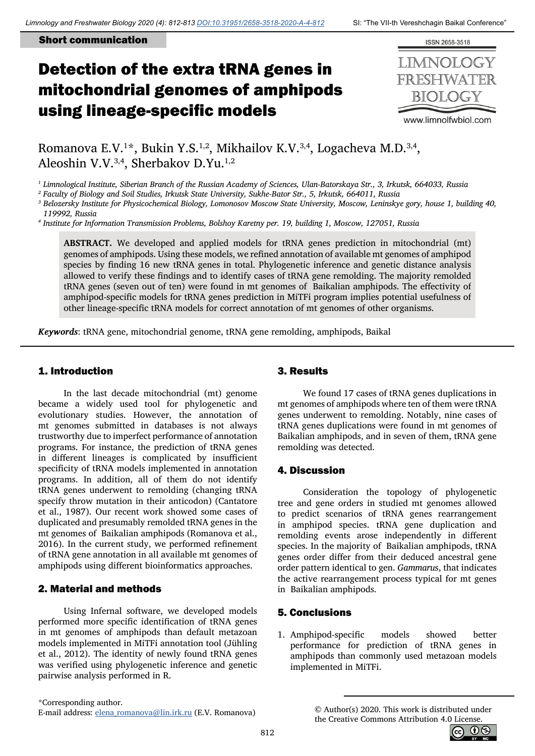### Short communication

# Detection of the extra tRNA genes in mitochondrial genomes of amphipods using lineage-specific models



Romanova E.V.<sup>1\*</sup>, Bukin Y.S.<sup>1,2</sup>, Mikhailov K.V.<sup>3,4</sup>, Logacheva M.D.<sup>3,4</sup>, Aleoshin V.V.<sup>3,4</sup>, Sherbakov D.Yu.<sup>1,2</sup>

*1 Limnological Institute, Siberian Branch of the Russian Academy of Sciences, Ulan-Batorskaya Str., 3, Irkutsk, 664033, Russia*

*2 Faculty of Biology and Soil Studies, Irkutsk State University, Sukhe-Bator Str., 5, Irkutsk, 664011, Russia*

*3 Belozersky Institute for Physicochemical Biology, Lomonosov Moscow State University, Moscow, Leninskye gory, house 1, building 40, 119992, Russia*

*4 Institute for Information Transmission Problems, Bolshoy Karetny per. 19, building 1, Moscow, 127051, Russia*

**ABSTRACT.** We developed and applied models for tRNA genes prediction in mitochondrial (mt) genomes of amphipods. Using these models, we refined annotation of available mt genomes of amphipod species by finding 16 new tRNA genes in total. Phylogenetic inference and genetic distance analysis allowed to verify these findings and to identify cases of tRNA gene remolding. The majority remolded tRNA genes (seven out of ten) were found in mt genomes of Baikalian amphipods. The effectivity of amphipod-specific models for tRNA genes prediction in MiTFi program implies potential usefulness of other lineage-specific tRNA models for correct annotation of mt genomes of other organisms.

*Keywords*: tRNA gene, mitochondrial genome, tRNA gene remolding, amphipods, Baikal

## 1. Introduction

In the last decade mitochondrial (mt) genome became a widely used tool for phylogenetic and evolutionary studies. However, the annotation of mt genomes submitted in databases is not always trustworthy due to imperfect performance of annotation programs. For instance, the prediction of tRNA genes in different lineages is complicated by insufficient specificity of tRNA models implemented in annotation programs. In addition, all of them do not identify tRNA genes underwent to remolding (changing tRNA specify throw mutation in their anticodon) (Cantatore et al., 1987). Our recent work showed some cases of duplicated and presumably remolded tRNA genes in the mt genomes of Baikalian amphipods (Romanova et al., 2016). In the current study, we performed refinement of tRNA gene annotation in all available mt genomes of amphipods using different bioinformatics approaches.

## 2. Material and methods

Using Infernal software, we developed models performed more specific identification of tRNA genes in mt genomes of amphipods than default metazoan models implemented in MiTFi annotation tool (Jühling et al., 2012). The identity of newly found tRNA genes was verified using phylogenetic inference and genetic pairwise analysis performed in R.

## 3. Results

We found 17 cases of tRNA genes duplications in mt genomes of amphipods where ten of them were tRNA genes underwent to remolding. Notably, nine cases of tRNA genes duplications were found in mt genomes of Baikalian amphipods, and in seven of them, tRNA gene remolding was detected.

## 4. Discussion

Consideration the topology of phylogenetic tree and gene orders in studied mt genomes allowed to predict scenarios of tRNA genes rearrangement in amphipod species. tRNA gene duplication and remolding events arose independently in different species. In the majority of Baikalian amphipods, tRNA genes order differ from their deduced ancestral gene order pattern identical to gen. *Gammaru*s, that indicates the active rearrangement process typical for mt genes in Baikalian amphipods.

## 5. Conclusions

1. Amphipod-specific models showed better performance for prediction of tRNA genes in amphipods than commonly used metazoan models implemented in MiTFi.

\*Corresponding author. E-mail address: [elena\\_romanova@lin.irk.ru](mailto:elena_romanova@lin.irk.ru) (E.V. Romanova)

<span id="page-0-0"></span>© Author(s) 2020. This work is distributed under the Creative Commons Attribution 4.0 License.